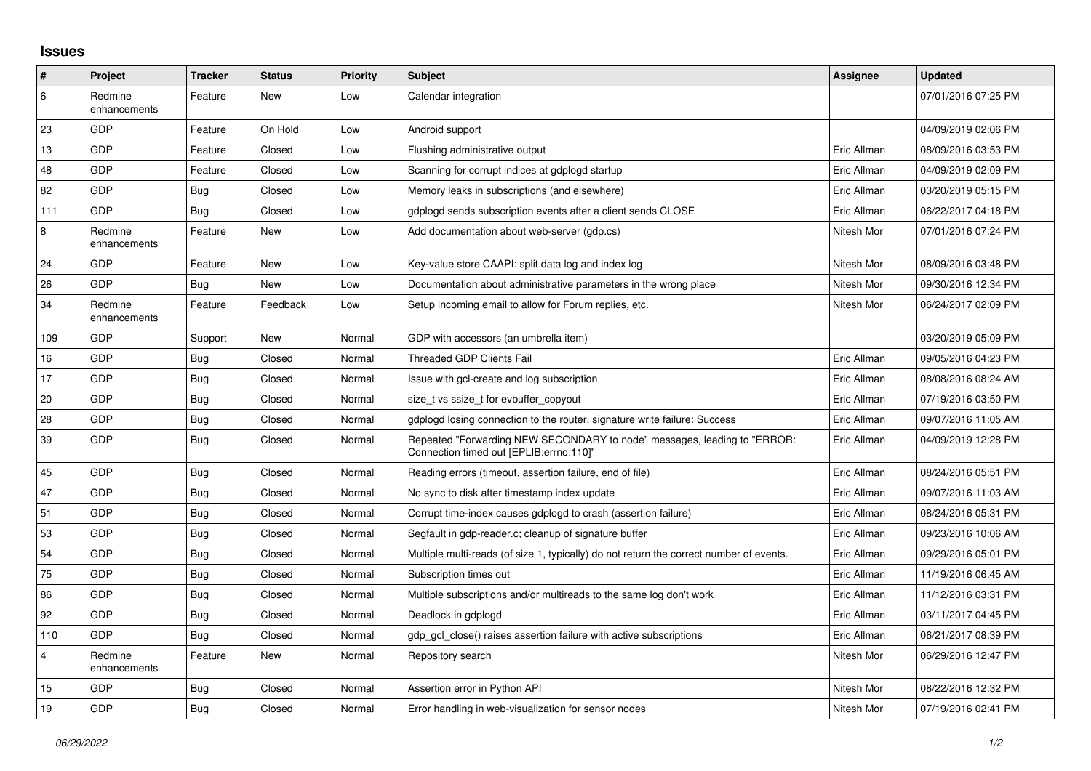## **Issues**

| #       | Project                 | <b>Tracker</b> | <b>Status</b> | <b>Priority</b> | <b>Subject</b>                                                                                                      | <b>Assignee</b> | <b>Updated</b>      |
|---------|-------------------------|----------------|---------------|-----------------|---------------------------------------------------------------------------------------------------------------------|-----------------|---------------------|
| 6       | Redmine<br>enhancements | Feature        | New           | Low             | Calendar integration                                                                                                |                 | 07/01/2016 07:25 PM |
| 23      | GDP                     | Feature        | On Hold       | Low             | Android support                                                                                                     |                 | 04/09/2019 02:06 PM |
| 13      | GDP                     | Feature        | Closed        | Low             | Flushing administrative output                                                                                      | Eric Allman     | 08/09/2016 03:53 PM |
| 48      | GDP                     | Feature        | Closed        | Low             | Scanning for corrupt indices at gdplogd startup                                                                     | Eric Allman     | 04/09/2019 02:09 PM |
| 82      | GDP                     | Bug            | Closed        | Low             | Memory leaks in subscriptions (and elsewhere)                                                                       | Eric Allman     | 03/20/2019 05:15 PM |
| 111     | GDP                     | Bug            | Closed        | Low             | gdplogd sends subscription events after a client sends CLOSE                                                        | Eric Allman     | 06/22/2017 04:18 PM |
| $\,8\,$ | Redmine<br>enhancements | Feature        | New           | Low             | Add documentation about web-server (gdp.cs)                                                                         | Nitesh Mor      | 07/01/2016 07:24 PM |
| 24      | GDP                     | Feature        | New           | Low             | Key-value store CAAPI: split data log and index log                                                                 | Nitesh Mor      | 08/09/2016 03:48 PM |
| 26      | GDP                     | <b>Bug</b>     | New           | Low             | Documentation about administrative parameters in the wrong place                                                    | Nitesh Mor      | 09/30/2016 12:34 PM |
| 34      | Redmine<br>enhancements | Feature        | Feedback      | Low             | Setup incoming email to allow for Forum replies, etc.                                                               | Nitesh Mor      | 06/24/2017 02:09 PM |
| 109     | GDP                     | Support        | New           | Normal          | GDP with accessors (an umbrella item)                                                                               |                 | 03/20/2019 05:09 PM |
| 16      | GDP                     | <b>Bug</b>     | Closed        | Normal          | Threaded GDP Clients Fail                                                                                           | Eric Allman     | 09/05/2016 04:23 PM |
| 17      | GDP                     | Bug            | Closed        | Normal          | Issue with gcl-create and log subscription                                                                          | Eric Allman     | 08/08/2016 08:24 AM |
| 20      | GDP                     | Bug            | Closed        | Normal          | size t vs ssize t for evbuffer copyout                                                                              | Eric Allman     | 07/19/2016 03:50 PM |
| 28      | GDP                     | <b>Bug</b>     | Closed        | Normal          | adpload losing connection to the router, signature write failure: Success                                           | Eric Allman     | 09/07/2016 11:05 AM |
| 39      | GDP                     | <b>Bug</b>     | Closed        | Normal          | Repeated "Forwarding NEW SECONDARY to node" messages, leading to "ERROR:<br>Connection timed out [EPLIB:errno:110]" | Eric Allman     | 04/09/2019 12:28 PM |
| 45      | GDP                     | Bug            | Closed        | Normal          | Reading errors (timeout, assertion failure, end of file)                                                            | Eric Allman     | 08/24/2016 05:51 PM |
| 47      | GDP                     | <b>Bug</b>     | Closed        | Normal          | No sync to disk after timestamp index update                                                                        | Eric Allman     | 09/07/2016 11:03 AM |
| 51      | GDP                     | Bug            | Closed        | Normal          | Corrupt time-index causes gdplogd to crash (assertion failure)                                                      | Eric Allman     | 08/24/2016 05:31 PM |
| 53      | GDP                     | Bug            | Closed        | Normal          | Segfault in gdp-reader.c; cleanup of signature buffer                                                               | Eric Allman     | 09/23/2016 10:06 AM |
| 54      | GDP                     | Bug            | Closed        | Normal          | Multiple multi-reads (of size 1, typically) do not return the correct number of events.                             | Eric Allman     | 09/29/2016 05:01 PM |
| 75      | GDP                     | Bug            | Closed        | Normal          | Subscription times out                                                                                              | Eric Allman     | 11/19/2016 06:45 AM |
| 86      | GDP                     | Bug            | Closed        | Normal          | Multiple subscriptions and/or multireads to the same log don't work                                                 | Eric Allman     | 11/12/2016 03:31 PM |
| 92      | GDP                     | Bug            | Closed        | Normal          | Deadlock in gdplogd                                                                                                 | Eric Allman     | 03/11/2017 04:45 PM |
| 110     | GDP                     | <b>Bug</b>     | Closed        | Normal          | gdp gcl close() raises assertion failure with active subscriptions                                                  | Eric Allman     | 06/21/2017 08:39 PM |
| 4       | Redmine<br>enhancements | Feature        | New           | Normal          | Repository search                                                                                                   | Nitesh Mor      | 06/29/2016 12:47 PM |
| 15      | GDP                     | <b>Bug</b>     | Closed        | Normal          | Assertion error in Python API                                                                                       | Nitesh Mor      | 08/22/2016 12:32 PM |
| 19      | GDP                     | Bug            | Closed        | Normal          | Error handling in web-visualization for sensor nodes                                                                | Nitesh Mor      | 07/19/2016 02:41 PM |